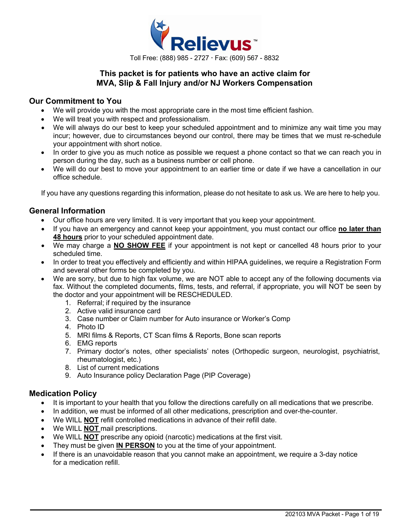

# **This packet is for patients who have an active claim for MVA, Slip & Fall Injury and/or NJ Workers Compensation**

### **Our Commitment to You**

- We will provide you with the most appropriate care in the most time efficient fashion.
- We will treat you with respect and professionalism.
- We will always do our best to keep your scheduled appointment and to minimize any wait time you may incur; however, due to circumstances beyond our control, there may be times that we must re-schedule your appointment with short notice.
- In order to give you as much notice as possible we request a phone contact so that we can reach you in person during the day, such as a business number or cell phone.
- We will do our best to move your appointment to an earlier time or date if we have a cancellation in our office schedule.

If you have any questions regarding this information, please do not hesitate to ask us. We are here to help you.

### **General Information**

- Our office hours are very limited. It is very important that you keep your appointment.
- If you have an emergency and cannot keep your appointment, you must contact our office **no later than 48 hours** prior to your scheduled appointment date.
- We may charge a **NO SHOW FEE** if your appointment is not kept or cancelled 48 hours prior to your scheduled time.
- In order to treat you effectively and efficiently and within HIPAA guidelines, we require a Registration Form and several other forms be completed by you.
- We are sorry, but due to high fax volume, we are NOT able to accept any of the following documents via fax. Without the completed documents, films, tests, and referral, if appropriate, you will NOT be seen by the doctor and your appointment will be RESCHEDULED.
	- 1. Referral; if required by the insurance
	- 2. Active valid insurance card
	- 3. Case number or Claim number for Auto insurance or Worker's Comp
	- 4. Photo ID
	- 5. MRI films & Reports, CT Scan films & Reports, Bone scan reports
	- 6. EMG reports
	- 7. Primary doctor's notes, other specialists' notes (Orthopedic surgeon, neurologist, psychiatrist, rheumatologist, etc.)
	- 8. List of current medications
	- 9. Auto Insurance policy Declaration Page (PIP Coverage)

### **Medication Policy**

- It is important to your health that you follow the directions carefully on all medications that we prescribe.
- In addition, we must be informed of all other medications, prescription and over-the-counter.
- We WILL **NOT** refill controlled medications in advance of their refill date.
- We WILL **NOT** mail prescriptions.
- We WILL **NOT** prescribe any opioid (narcotic) medications at the first visit.
- They must be given **IN PERSON** to you at the time of your appointment.
- If there is an unavoidable reason that you cannot make an appointment, we require a 3-day notice for a medication refill.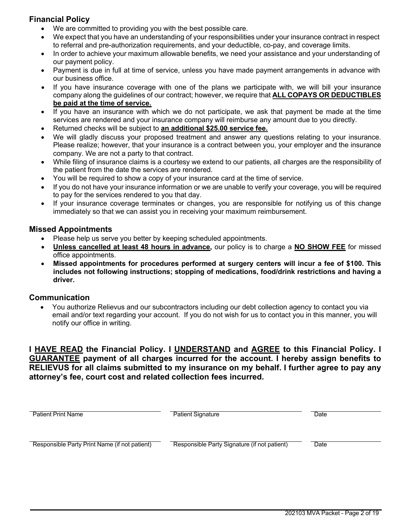# **Financial Policy**

- We are committed to providing you with the best possible care.
- We expect that you have an understanding of your responsibilities under your insurance contract in respect to referral and pre-authorization requirements, and your deductible, co-pay, and coverage limits.
- In order to achieve your maximum allowable benefits, we need your assistance and your understanding of our payment policy.
- Payment is due in full at time of service, unless you have made payment arrangements in advance with our business office.
- If you have insurance coverage with one of the plans we participate with, we will bill your insurance company along the guidelines of our contract; however, we require that **ALL COPAYS OR DEDUCTIBLES be paid at the time of service.**
- If you have an insurance with which we do not participate, we ask that payment be made at the time services are rendered and your insurance company will reimburse any amount due to you directly.
- Returned checks will be subject to **an additional \$25.00 service fee.**
- We will gladly discuss your proposed treatment and answer any questions relating to your insurance. Please realize; however, that your insurance is a contract between you, your employer and the insurance company. We are not a party to that contract.
- While filing of insurance claims is a courtesy we extend to our patients, all charges are the responsibility of the patient from the date the services are rendered.
- You will be required to show a copy of your insurance card at the time of service.
- If you do not have your insurance information or we are unable to verify your coverage, you will be required to pay for the services rendered to you that day.
- If your insurance coverage terminates or changes, you are responsible for notifying us of this change immediately so that we can assist you in receiving your maximum reimbursement.

### **Missed Appointments**

- Please help us serve you better by keeping scheduled appointments.
- **Unless cancelled at least 48 hours in advance,** our policy is to charge a **NO SHOW FEE** for missed office appointments.
- **Missed appointments for procedures performed at surgery centers will incur a fee of \$100. This includes not following instructions; stopping of medications, food/drink restrictions and having a driver.**

### **Communication**

• You authorize Relievus and our subcontractors including our debt collection agency to contact you via email and/or text regarding your account. If you do not wish for us to contact you in this manner, you will notify our office in writing.

**I HAVE READ the Financial Policy. I UNDERSTAND and AGREE to this Financial Policy. I GUARANTEE payment of all charges incurred for the account. I hereby assign benefits to RELIEVUS for all claims submitted to my insurance on my behalf. I further agree to pay any attorney's fee, court cost and related collection fees incurred.**

| <b>Patient Print Name</b>                     | <b>Patient Signature</b>                     | Date |
|-----------------------------------------------|----------------------------------------------|------|
|                                               |                                              |      |
| Responsible Party Print Name (if not patient) | Responsible Party Signature (if not patient) | Date |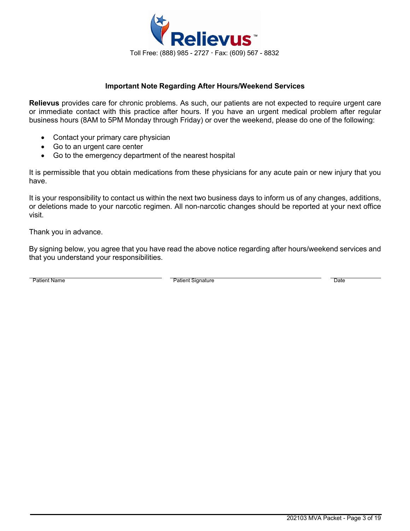

### **Important Note Regarding After Hours/Weekend Services**

**Relievus** provides care for chronic problems. As such, our patients are not expected to require urgent care or immediate contact with this practice after hours. If you have an urgent medical problem after regular business hours (8AM to 5PM Monday through Friday) or over the weekend, please do one of the following:

- Contact your primary care physician
- Go to an urgent care center
- Go to the emergency department of the nearest hospital

It is permissible that you obtain medications from these physicians for any acute pain or new injury that you have.

It is your responsibility to contact us within the next two business days to inform us of any changes, additions, or deletions made to your narcotic regimen. All non-narcotic changes should be reported at your next office visit.

Thank you in advance.

By signing below, you agree that you have read the above notice regarding after hours/weekend services and that you understand your responsibilities.

Patient Name **Date Contains Container Container Container Container Container Container Container Container Date**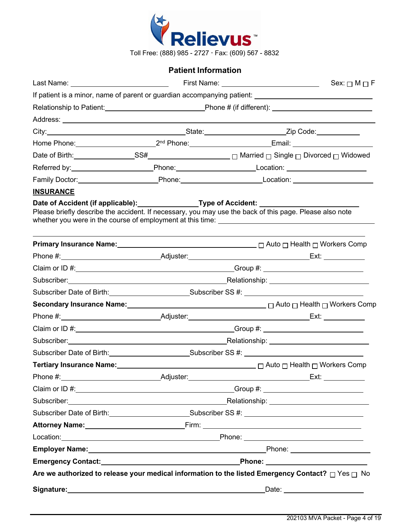

# **Patient Information**

|                                                                                                                                                                         |                                                                                                        |  | Sex: $\Box$ M $\Box$ F                                                                                                                                                                                                               |
|-------------------------------------------------------------------------------------------------------------------------------------------------------------------------|--------------------------------------------------------------------------------------------------------|--|--------------------------------------------------------------------------------------------------------------------------------------------------------------------------------------------------------------------------------------|
|                                                                                                                                                                         |                                                                                                        |  |                                                                                                                                                                                                                                      |
|                                                                                                                                                                         |                                                                                                        |  |                                                                                                                                                                                                                                      |
|                                                                                                                                                                         |                                                                                                        |  |                                                                                                                                                                                                                                      |
|                                                                                                                                                                         |                                                                                                        |  |                                                                                                                                                                                                                                      |
|                                                                                                                                                                         |                                                                                                        |  |                                                                                                                                                                                                                                      |
|                                                                                                                                                                         |                                                                                                        |  |                                                                                                                                                                                                                                      |
|                                                                                                                                                                         |                                                                                                        |  |                                                                                                                                                                                                                                      |
|                                                                                                                                                                         |                                                                                                        |  | Family Doctor: _____________________________Phone: ______________________________                                                                                                                                                    |
| <b>INSURANCE</b>                                                                                                                                                        |                                                                                                        |  |                                                                                                                                                                                                                                      |
| Date of Accident (if applicable): Type of Accident: ________<br>Please briefly describe the accident. If necessary, you may use the back of this page. Please also note |                                                                                                        |  |                                                                                                                                                                                                                                      |
|                                                                                                                                                                         |                                                                                                        |  | <b>Primary Insurance Name:</b> 2008 2012 2012 2013 2014 2015 2016 2017 2018 2019 2012 2014 2015 2016 2017 2018 2019                                                                                                                  |
|                                                                                                                                                                         |                                                                                                        |  |                                                                                                                                                                                                                                      |
|                                                                                                                                                                         |                                                                                                        |  |                                                                                                                                                                                                                                      |
|                                                                                                                                                                         |                                                                                                        |  |                                                                                                                                                                                                                                      |
|                                                                                                                                                                         | Subscriber Date of Birth: Subscriber SS #: Cubscriber SS #: Cubscriber SS #: Cubscriber Date of Birth: |  |                                                                                                                                                                                                                                      |
|                                                                                                                                                                         |                                                                                                        |  | Secondary Insurance Name: <u>2000 100 million and the manuscripts</u> Decondary Insurance Name: 2001 100 million and D                                                                                                               |
|                                                                                                                                                                         |                                                                                                        |  |                                                                                                                                                                                                                                      |
|                                                                                                                                                                         |                                                                                                        |  |                                                                                                                                                                                                                                      |
|                                                                                                                                                                         |                                                                                                        |  | Subscriber: Nelationship: Nelationship: Nelationship: Nelationship: Nelationship: Nelationship: Nelationship: Nelationship: Nelationship: Nelationship: Nelationship: Nelationship: Nelationship: Nelationship: Nelationship:        |
|                                                                                                                                                                         |                                                                                                        |  | Subscriber Date of Birth: Subscriber SS #: Cubscriber SS #: Cubscriber SS #: Cubscriber Date of Birth:                                                                                                                               |
|                                                                                                                                                                         |                                                                                                        |  | Tertiary Insurance Name: Manner Manner Music Compared Auto Discussion Discussion Discussion Discussion Discussion                                                                                                                    |
|                                                                                                                                                                         |                                                                                                        |  |                                                                                                                                                                                                                                      |
|                                                                                                                                                                         |                                                                                                        |  |                                                                                                                                                                                                                                      |
|                                                                                                                                                                         |                                                                                                        |  | Subscriber: Nelationship: Nelationship: Nelationship: Nelationship: Nelationship: Nelationship: Nelationship: Nelationship: Nelationship: Nelationship: Nelationship: Nelationship: Nelationship: Nelationship: Nelationship:        |
|                                                                                                                                                                         |                                                                                                        |  | Subscriber Date of Birth: Subscriber SS #: Cubscriber SS #: Cubscriber SS #: Cubscriber Date of Birth:                                                                                                                               |
|                                                                                                                                                                         |                                                                                                        |  | Attorney Name: <u>Name: Attorney Name: Attorney Name:</u>                                                                                                                                                                            |
|                                                                                                                                                                         |                                                                                                        |  |                                                                                                                                                                                                                                      |
|                                                                                                                                                                         |                                                                                                        |  | Employer Name: <u>Name: All and the Community of Contract Community of Contract Community of Contract Community of Contract Community of Contract Community of Community of Community of Community of Community of Community of </u> |
|                                                                                                                                                                         |                                                                                                        |  |                                                                                                                                                                                                                                      |
|                                                                                                                                                                         |                                                                                                        |  | Are we authorized to release your medical information to the listed Emergency Contact? $\Box$ Yes $\Box$ No                                                                                                                          |
| Signature: Signature:                                                                                                                                                   |                                                                                                        |  |                                                                                                                                                                                                                                      |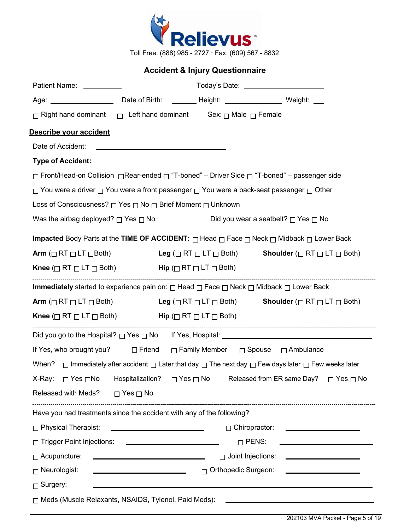

Toll Free: (888) 985 - 2727 Fax: (609) 567 - 8832

# **Accident & Injury Questionnaire**

| Patient Name: \[\]                                                                                                     |                      |                            |                                                                                                                                |
|------------------------------------------------------------------------------------------------------------------------|----------------------|----------------------------|--------------------------------------------------------------------------------------------------------------------------------|
|                                                                                                                        |                      |                            |                                                                                                                                |
| $\Box$ Right hand dominant $\Box$ Left hand dominant Sex: $\Box$ Male $\Box$ Female                                    |                      |                            |                                                                                                                                |
| Describe your accident                                                                                                 |                      |                            |                                                                                                                                |
|                                                                                                                        |                      |                            |                                                                                                                                |
| <b>Type of Accident:</b>                                                                                               |                      |                            |                                                                                                                                |
| □ Front/Head-on Collision □ Rear-ended □ "T-boned" – Driver Side □ "T-boned" – passenger side                          |                      |                            |                                                                                                                                |
| $\Box$ You were a driver $\Box$ You were a front passenger $\Box$ You were a back-seat passenger $\Box$ Other          |                      |                            |                                                                                                                                |
| Loss of Consciousness? □ Yes □ No □ Brief Moment □ Unknown                                                             |                      |                            |                                                                                                                                |
| Was the airbag deployed? $\Box$ Yes $\Box$ No $\Box$ Did you wear a seatbelt? $\Box$ Yes $\Box$ No                     |                      |                            |                                                                                                                                |
| Impacted Body Parts at the TIME OF ACCIDENT: $\Box$ Head $\Box$ Face $\Box$ Neck $\Box$ Midback $\Box$ Lower Back      |                      |                            |                                                                                                                                |
| Arm ( $\Box$ RT $\Box$ LT $\Box$ Both)                                                                                 |                      |                            | Leg ( $\Box$ RT $\Box$ LT $\Box$ Both) Shoulder ( $\Box$ RT $\Box$ LT $\Box$ Both)                                             |
| <b>Knee</b> ( $\Box$ RT $\Box$ LT $\Box$ Both) <b>Hip</b> ( $\Box$ RT $\Box$ LT $\Box$ Both)                           |                      |                            |                                                                                                                                |
| <b>Immediately</b> started to experience pain on: $\Box$ Head $\Box$ Face $\Box$ Neck $\Box$ Midback $\Box$ Lower Back |                      |                            |                                                                                                                                |
|                                                                                                                        |                      |                            | Arm ( $\Box$ RT $\Box$ LT $\Box$ Both) Leg ( $\Box$ RT $\Box$ LT $\Box$ Both) Shoulder ( $\Box$ RT $\Box$ LT $\Box$ Both)      |
| <b>Knee</b> ( $\Box$ RT $\Box$ LT $\Box$ Both) <b>Hip</b> ( $\Box$ RT $\Box$ LT $\Box$ Both)                           |                      |                            |                                                                                                                                |
|                                                                                                                        |                      |                            |                                                                                                                                |
| If Yes, who brought you?  □ Friend □ Family Member □ Spouse □ Ambulance                                                |                      |                            |                                                                                                                                |
|                                                                                                                        |                      |                            | When? $\Box$ Immediately after accident $\Box$ Later that day $\Box$ The next day $\Box$ Few days later $\Box$ Few weeks later |
|                                                                                                                        |                      |                            | X-Ray: □ Yes □ No Hospitalization? □ Yes □ No Released from ER same Day? □ Yes □ No                                            |
| Released with Meds?                                                                                                    | $\Box$ Yes $\Box$ No |                            |                                                                                                                                |
| Have you had treatments since the accident with any of the following?                                                  |                      |                            |                                                                                                                                |
| □ Physical Therapist:                                                                                                  |                      | $\Box$ Chiropractor:       |                                                                                                                                |
| □ Trigger Point Injections:                                                                                            |                      | $\Box$ PENS:               |                                                                                                                                |
| $\Box$ Acupuncture:                                                                                                    |                      | $\Box$ Joint Injections:   |                                                                                                                                |
| $\sqcap$ Neurologist:                                                                                                  |                      | $\Box$ Orthopedic Surgeon: |                                                                                                                                |
| $\Box$ Surgery:                                                                                                        |                      |                            |                                                                                                                                |
| □ Meds (Muscle Relaxants, NSAIDS, Tylenol, Paid Meds):                                                                 |                      |                            |                                                                                                                                |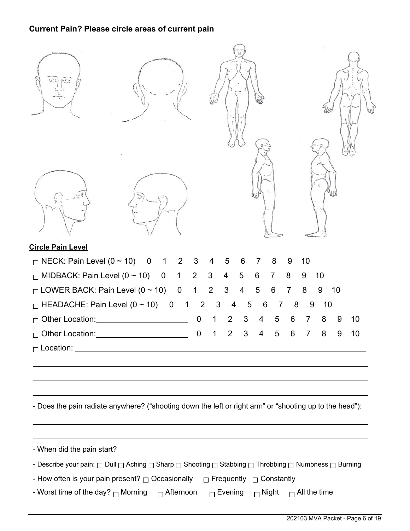# **Current Pain? Please circle areas of current pain**

| <b>Circle Pain Level</b>                                                                                                                     |                               |                              |                     |                     |         |         |
|----------------------------------------------------------------------------------------------------------------------------------------------|-------------------------------|------------------------------|---------------------|---------------------|---------|---------|
| $\Box$ NECK: Pain Level (0 ~ 10)<br>$\overline{0}$<br>2<br>$\overline{1}$                                                                    | 3<br>4                        | 5<br>6                       | 8<br>7              | 10<br>9             |         |         |
| $\Box$ MIDBACK: Pain Level (0 ~ 10) 0<br>$\mathbf 1$                                                                                         | $\overline{2}$<br>3           | $\overline{\mathbf{4}}$<br>5 | 6<br>$\overline{7}$ | 8<br>9              | 10      |         |
| $\Box$ LOWER BACK: Pain Level (0 ~ 10)<br>$\overline{0}$                                                                                     | $\overline{2}$<br>$\mathbf 1$ | $\mathfrak{B}$<br>4          | 5<br>6              | $\overline{7}$<br>8 | 9<br>10 |         |
| $\Box$ HEADACHE: Pain Level (0 ~ 10) 0<br>$\mathbf{1}$                                                                                       | $\overline{2}$<br>3           | 5<br>4                       | 6<br>7              | 8                   | 9<br>10 |         |
| □ Other Location:<br>□                                                                                                                       | $\overline{0}$                | $\overline{2}$<br>3          | 5<br>4              | 6<br>7              | 8       | 9<br>10 |
| Other Location: Change of the Changes<br>П                                                                                                   | $\mathbf 0$<br>1              | 3<br>$\overline{2}$          | 5<br>4              | 6<br>$\overline{7}$ | 8       | 10<br>9 |
|                                                                                                                                              |                               |                              |                     |                     |         |         |
| - Does the pain radiate anywhere? ("shooting down the left or right arm" or "shooting up to the head"):                                      |                               |                              |                     |                     |         |         |
|                                                                                                                                              |                               |                              |                     |                     |         |         |
| - Describe your pain: $\Box$ Dull $\Box$ Aching $\Box$ Sharp $\Box$ Shooting $\Box$ Stabbing $\Box$ Throbbing $\Box$ Numbness $\Box$ Burning |                               |                              |                     |                     |         |         |
| - How often is your pain present? $\Box$ Occasionally $\Box$ Frequently $\Box$ Constantly                                                    |                               |                              |                     |                     |         |         |
| - Worst time of the day? <sub>□</sub> Morning   □ Afternoon   □ Evening   □ Night   □ All the time                                           |                               |                              |                     |                     |         |         |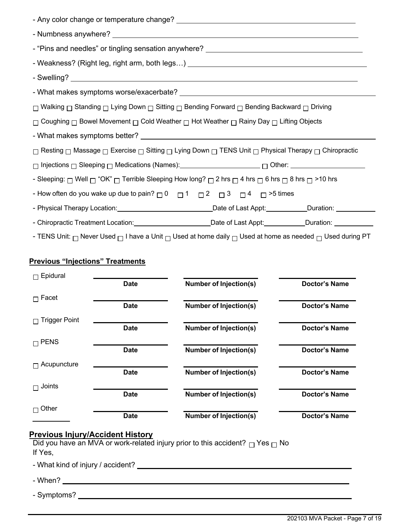| - "Pins and needles" or tingling sensation anywhere? ___________________________                                                          |  |  |  |
|-------------------------------------------------------------------------------------------------------------------------------------------|--|--|--|
| - Weakness? (Right leg, right arm, both legs) ________________________________                                                            |  |  |  |
|                                                                                                                                           |  |  |  |
|                                                                                                                                           |  |  |  |
| □ Walking □ Standing □ Lying Down □ Sitting □ Bending Forward □ Bending Backward □ Driving                                                |  |  |  |
| $\Box$ Coughing $\Box$ Bowel Movement $\Box$ Cold Weather $\Box$ Hot Weather $\Box$ Rainy Day $\Box$ Lifting Objects                      |  |  |  |
|                                                                                                                                           |  |  |  |
| $□$ Resting $□$ Massage $□$ Exercise $□$ Sitting $□$ Lying Down $□$ TENS Unit $□$ Physical Therapy $□$ Chiropractic                       |  |  |  |
|                                                                                                                                           |  |  |  |
| - Sleeping: $\Box$ Well $\Box$ "OK" $\Box$ Terrible Sleeping How long? $\Box$ 2 hrs $\Box$ 4 hrs $\Box$ 6 hrs $\Box$ 8 hrs $\Box$ >10 hrs |  |  |  |
| - How often do you wake up due to pain? $\Box$ 0 $\Box$ 1 $\Box$ 2 $\Box$ 3 $\Box$ 4 $\Box$ >5 times                                      |  |  |  |
|                                                                                                                                           |  |  |  |
| - Chiropractic Treatment Location: Calcular Charles Charles Charles Chiropractic Treatment Location:                                      |  |  |  |

- TENS Unit:  $\Box$  Never Used  $\Box$  I have a Unit  $\Box$  Used at home daily  $\Box$  Used at home as needed  $\Box$  Used during PT

# **Previous "Injections" Treatments**

| Epidural             |             |                               |                      |
|----------------------|-------------|-------------------------------|----------------------|
|                      | <b>Date</b> | <b>Number of Injection(s)</b> | <b>Doctor's Name</b> |
| Facet<br>П           |             |                               |                      |
|                      | <b>Date</b> | <b>Number of Injection(s)</b> | <b>Doctor's Name</b> |
| <b>Trigger Point</b> |             |                               |                      |
|                      | <b>Date</b> | <b>Number of Injection(s)</b> | <b>Doctor's Name</b> |
| $\sqcap$ PENS        |             |                               |                      |
|                      | <b>Date</b> | <b>Number of Injection(s)</b> | Doctor's Name        |
| Acupuncture          |             |                               |                      |
|                      | <b>Date</b> | <b>Number of Injection(s)</b> | <b>Doctor's Name</b> |
| Joints<br>п          |             |                               |                      |
|                      | <b>Date</b> | <b>Number of Injection(s)</b> | <b>Doctor's Name</b> |
| Other                |             |                               |                      |
|                      | <b>Date</b> | <b>Number of Injection(s)</b> | <b>Doctor's Name</b> |

### **Previous Injury/Accident History**

Did you have an MVA or work-related injury prior to this accident?  $\Box$  Yes  $\Box$  No If Yes,

- What kind of injury / accident?

- When?

- Symptoms?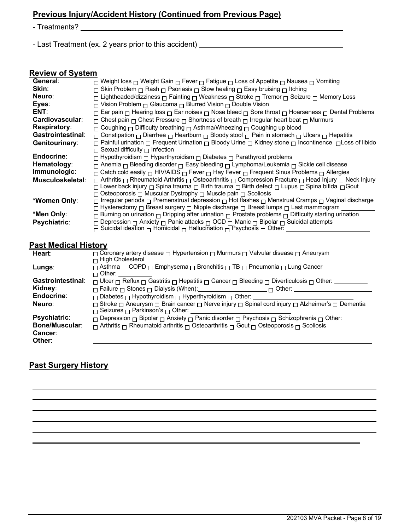# **Previous Injury/Accident History (Continued from Previous Page)**

- Treatments?

- Last Treatment (ex. 2 years prior to this accident)

### **Review of System**

| General:                 | □ Weight loss □ Weight Gain □ Fever □ Fatigue □ Loss of Appetite □ Nausea □ Vomiting                                                |
|--------------------------|-------------------------------------------------------------------------------------------------------------------------------------|
| Skin:                    | $\Box$ Skin Problem $\Box$ Rash $\Box$ Psoriasis $\Box$ Slow healing $\Box$ Easy bruising $\Box$ Itching                            |
| Neuro:                   | □ Lightheaded/dizziness □ Fainting □ Weakness □ Stroke □ Tremor □ Seizure □ Memory Loss                                             |
| Eyes:                    | □ Vision Problem □ Glaucoma □ Blurred Vision □ Double Vision                                                                        |
| ENT:                     | $\Box$ Ear pain $\Box$ Hearing loss $\Box$ Ear noises $\Box$ Nose bleed $\Box$ Sore throat $\Box$ Hoarseness $\Box$ Dental Problems |
| Cardiovascular:          | $\Box$ Chest pain $\Box$ Chest Pressure $\Box$ Shortness of breath $\Box$ Irregular heart beat $\Box$ Murmurs                       |
| <b>Respiratory:</b>      | □ Coughing □ Difficulty breathing □ Asthma/Wheezing □ Coughing up blood                                                             |
| <b>Gastrointestinal:</b> | $\Box$ Constipation $\Box$ Diarrhea $\Box$ Heartburn $\Box$ Bloody stool $\Box$ Pain in stomach $\Box$ Ulcers $\Box$ Hepatitis      |
| Genitourinary:           | □ Painful urination □ Frequent Urination □ Bloody Urine □ Kidney stone □ Incontinence □ Loss of libido                              |
|                          | $\Box$ Sexual difficulty $\Box$ Infection                                                                                           |
| Endocrine:               | $\Box$ Hypothyroidism $\Box$ Hyperthyroidism $\Box$ Diabetes $\Box$ Parathyroid problems                                            |
| Hematology:              | $\Box$ Anemia $\Box$ Bleeding disorder $\Box$ Easy bleeding $\Box$ Lymphoma/Leukemia $\Box$ Sickle cell disease                     |
| Immunologic:             | $\Box$ Catch cold easily $\Box$ HIV/AIDS $\Box$ Fever $\Box$ Hay Fever $\Box$ Frequent Sinus Problems $\Box$ Allergies              |
| Musculoskeletal:         | □ Arthritis □ Rheumatoid Arthritis □ Osteoarthritis □ Compression Fracture □ Head Injury □ Neck Injury                              |
|                          | ה Lower back injury ⊟ Spina trauma ה Birth trauma ⊟ Birth defect ⊟ Lupus ⊟ Spina bifida                                             |
|                          | □ Osteoporosis □ Muscular Dystrophy □ Muscle pain □ Scoliosis                                                                       |
| *Women Only:             | □ Irregular periods □ Premenstrual depression □ Hot flashes □ Menstrual Cramps □ Vaginal discharge                                  |
|                          | $\Box$ Hysterectomy $\Box$ Breast surgery $\Box$ Nipple discharge $\Box$ Breast lumps $\Box$ Last mammogram                         |
| *Men Only:               | $\Box$ Burning on urination $\Box$ Dripping after urination $\Box$ Prostate problems $\Box$ Difficulty starting urination           |
| <b>Psychiatric:</b>      | □ Depression □ Anxiety □ Panic attacks □ OCD □ Manic □ Bipolar □ Suicidal attempts                                                  |
|                          | $\overline{\Box}$ Suicidal ideation $\Box$ Homicidal $\Box$ Hallucination $\overline{\Box}$ Psychosis $\Box$ Other:                 |
|                          |                                                                                                                                     |

# **Past Medical History**

| Heart:                   | $\Box$ Coronary artery disease $\Box$ Hypertension $\Box$ Murmurs $\Box$ Valvular disease $\Box$ Aneurysm                            |
|--------------------------|--------------------------------------------------------------------------------------------------------------------------------------|
|                          | $\sqcap$ High Cholesterol                                                                                                            |
| Lungs:                   | $\Box$ Asthma $\Box$ COPD $\Box$ Emphysema $\Box$ Bronchitis $\Box$ TB $\Box$ Pneumonia $\Box$ Lung Cancer                           |
|                          | ┌┐Other:                                                                                                                             |
| <b>Gastrointestinal:</b> | $\Box$ Ulcer $\Box$ Reflux $\Box$ Gastritis $\Box$ Hepatitis $\Box$ Cancer $\Box$ Bleeding $\Box$ Diverticulosis $\Box$ Other: _____ |
| Kidney:                  |                                                                                                                                      |
| Endocrine:               | $\Box$ Diabetes $\Box$ Hypothyroidism $\Box$ Hyperthyroidism $\Box$ Other:                                                           |
| Neuro:                   | □ Stroke □ Aneurysm □ Brain cancer □ Nerve injury □ Spinal cord injury □ Alzheimer's □ Dementia                                      |
|                          | $\Box$ Seizures $\Box$ Parkinson's $\Box$ Other: _                                                                                   |
| <b>Psychiatric:</b>      | $\Box$ Depression $\Box$ Bipolar $\Box$ Anxiety $\Box$ Panic disorder $\Box$ Psychosis $\Box$ Schizophrenia $\Box$ Other:            |
| <b>Bone/Muscular:</b>    | $\Box$ Arthritis $\Box$ Rheumatoid arthritis $\Box$ Osteoarthritis $\Box$ Gout $\Box$ Osteoporosis $\Box$ Scoliosis                  |
| Cancer:                  |                                                                                                                                      |
| Other:                   |                                                                                                                                      |

# **Past Surgery History**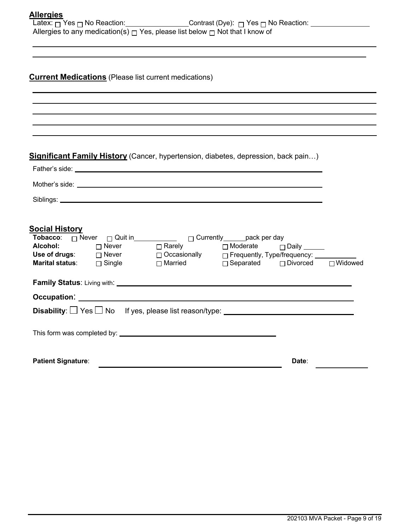|  | Allergies |  |
|--|-----------|--|
|  |           |  |

| Latex: <sub>冂</sub> Yes <sub>冂</sub> No Reaction:_ | Contrast (Dye): $\Box$ Yes $\Box$ No Reaction:                                             |
|----------------------------------------------------|--------------------------------------------------------------------------------------------|
|                                                    | Allergies to any medication(s) $\sqcap$ Yes, please list below $\sqcap$ Not that I know of |

# **Current Medications** (Please list current medications)

# **Significant Family History** (Cancer, hypertension, diabetes, depression, back pain…)

|                           | Mother's side: <u>example and contract and contract and contract and contract and contract and contract and contract and contract and contract and contract and contract and contract and contract and contract and contract and</u> |       |  |
|---------------------------|--------------------------------------------------------------------------------------------------------------------------------------------------------------------------------------------------------------------------------------|-------|--|
|                           |                                                                                                                                                                                                                                      |       |  |
|                           |                                                                                                                                                                                                                                      |       |  |
| So <u>cial History</u>    |                                                                                                                                                                                                                                      |       |  |
|                           |                                                                                                                                                                                                                                      |       |  |
|                           |                                                                                                                                                                                                                                      |       |  |
|                           | Use of drugs: $\Box$ Never $\Box$ Occasionally $\Box$ Frequently, Type/frequency: ________                                                                                                                                           |       |  |
|                           | <b>Marital status</b> : □ Single □ Married □ Separated □ Divorced □ Widowed                                                                                                                                                          |       |  |
|                           |                                                                                                                                                                                                                                      |       |  |
|                           |                                                                                                                                                                                                                                      |       |  |
|                           | Disability: $\Box$ Yes $\Box$ No If yes, please list reason/type: $\Box$                                                                                                                                                             |       |  |
|                           |                                                                                                                                                                                                                                      |       |  |
|                           |                                                                                                                                                                                                                                      |       |  |
|                           |                                                                                                                                                                                                                                      |       |  |
| <b>Patient Signature:</b> |                                                                                                                                                                                                                                      | Date: |  |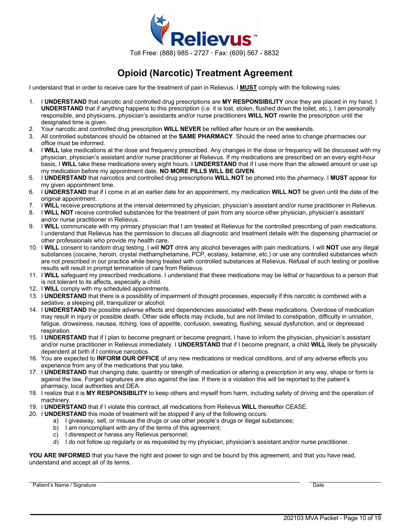

# **Opioid (Narcotic) Treatment Agreement**

I understand that in order to receive care for the treatment of pain in Relievus, I **MUST** comply with the following rules:

- 1. I **UNDERSTAND** that narcotic and controlled drug prescriptions are **MY RESPONSIBILITY** once they are placed in my hand. I **UNDERSTAND** that if anything happens to this prescription (i.e. it is lost, stolen, flushed down the toilet, etc.), I am personally responsible, and physicians, physician's assistants and/or nurse practitioners **WILL NOT** rewrite the prescription until the designated time is given.
- 2. Your narcotic and controlled drug prescription **WILL NEVER** be refilled after hours or on the weekends.
- 3. All controlled substances should be obtained at the **SAME PHARMACY**. Should the need arise to change pharmacies our office must be informed.
- 4. I **WILL** take medications at the dose and frequency prescribed. Any changes in the dose or frequency will be discussed with my physician, physician's assistant and/or nurse practitioner at Relievus. If my medications are prescribed on an every eight-hour basis, I **WILL** take these medications every eight hours. I **UNDERSTAND** that if I use more than the allowed amount or use up my medication before my appointment date, **NO MORE PILLS WILL BE GIVEN**.
- 5. I **UNDERSTAND** that narcotics and controlled drug prescriptions **WILL NOT** be phoned into the pharmacy. I **MUST** appear for my given appointment time.
- 6. I **UNDERSTAND** that if I come in at an earlier date for an appointment, my medication **WILL NOT** be given until the date of the original appointment.
- 7. I **WILL** receive prescriptions at the interval determined by physician, physician's assistant and/or nurse practitioner in Relievus.
- 8. I **WILL NOT** receive controlled substances for the treatment of pain from any source other physician, physician's assistant and/or nurse practitioner in Relievus.
- 9. I **WILL** communicate with my primary physician that I am treated at Relievus for the controlled prescribing of pain medications. I understand that Relievus has the permission to discuss all diagnostic and treatment details with the dispensing pharmacist or other professionals who provide my health care.
- 10. I **WILL** consent to random drug testing. I will **NOT** drink any alcohol beverages with pain medications. I will **NOT** use any illegal substances (cocaine, heroin, crystal methamphetamine, PCP, ecstasy, ketamine, etc.) or use any controlled substances which are not prescribed in our practice while being treated with controlled substances at Relievus. Refusal of such testing or positive results will result in prompt termination of care from Relievus.
- 11. I **WILL** safeguard my prescribed medications. I understand that these medications may be lethal or hazardous to a person that is not tolerant to its affects, especially a child.
- 12. I **WILL** comply with my scheduled appointments.
- 13. I **UNDERSTAND** that there is a possibility of impairment of thought processes, especially if this narcotic is combined with a sedative, a sleeping pill, tranquilizer or alcohol.
- 14. I **UNDERSTAND** the possible adverse effects and dependencies associated with these medications. Overdose of medication may result in injury or possible death. Other side effects may include, but are not limited to constipation, difficulty in urination, fatigue, drowsiness, nausea, itching, loss of appetite, confusion, sweating, flushing, sexual dysfunction, and or depressed respiration.
- 15. I **UNDERSTAND** that if I plan to become pregnant or become pregnant, I have to inform the physician, physician's assistant and/or nurse practitioner in Relievus immediately. I **UNDERSTAND** that if I become pregnant, a child **WILL** likely be physically dependent at birth if I continue narcotics.
- 16. You are expected to **INFORM OUR OFFICE** of any new medications or medical conditions, and of any adverse effects you experience from any of the medications that you take.
- 17. I **UNDERSTAND** that changing date, quantity or strength of medication or altering a prescription in any way, shape or form is against the law. Forged signatures are also against the law. If there is a violation this will be reported to the patient's pharmacy, local authorities and DEA.
- 18. I realize that it is **MY RESPONSIBILITY** to keep others and myself from harm, including safety of driving and the operation of machinery.
- 19. I **UNDERSTAND** that if I violate this contract, all medications from Relievus **WILL** thereafter CEASE.
- 20. I **UNDERSTAND** this mode of treatment will be stopped if any of the following occurs:
	- a) I giveaway, sell, or misuse the drugs or use other people's drugs or illegal substances;
	- b) I am noncompliant with any of the terms of this agreement;
	- c) I disrespect or harass any Relievus personnel;
	- d) I do not follow up regularly or as requested by my physician, physician's assistant and/or nurse practitioner.

**YOU ARE INFORMED** that you have the right and power to sign and be bound by this agreement, and that you have read, understand and accept all of its terms.

Patient's Name / Signature Date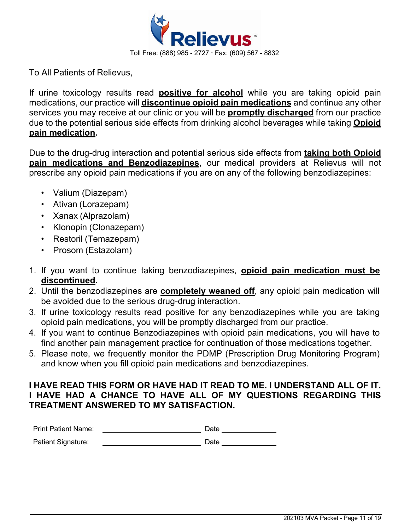

To All Patients of Relievus,

If urine toxicology results read **positive for alcohol** while you are taking opioid pain medications, our practice will **discontinue opioid pain medications** and continue any other services you may receive at our clinic or you will be **promptly discharged** from our practice due to the potential serious side effects from drinking alcohol beverages while taking **Opioid pain medication.**

Due to the drug-drug interaction and potential serious side effects from **taking both Opioid pain medications and Benzodiazepines**, our medical providers at Relievus will not prescribe any opioid pain medications if you are on any of the following benzodiazepines:

- Valium (Diazepam)
- Ativan (Lorazepam)
- Xanax (Alprazolam)
- Klonopin (Clonazepam)
- Restoril (Temazepam)
- Prosom (Estazolam)
- 1. If you want to continue taking benzodiazepines, **opioid pain medication must be discontinued.**
- 2. Until the benzodiazepines are **completely weaned off**, any opioid pain medication will be avoided due to the serious drug-drug interaction.
- 3. If urine toxicology results read positive for any benzodiazepines while you are taking opioid pain medications, you will be promptly discharged from our practice.
- 4. If you want to continue Benzodiazepines with opioid pain medications, you will have to find another pain management practice for continuation of those medications together.
- 5. Please note, we frequently monitor the PDMP (Prescription Drug Monitoring Program) and know when you fill opioid pain medications and benzodiazepines.

# **I HAVE READ THIS FORM OR HAVE HAD IT READ TO ME. I UNDERSTAND ALL OF IT. I HAVE HAD A CHANCE TO HAVE ALL OF MY QUESTIONS REGARDING THIS TREATMENT ANSWERED TO MY SATISFACTION.**

| <b>Print Patient Name:</b> | Date |
|----------------------------|------|
| Patient Signature:         | Date |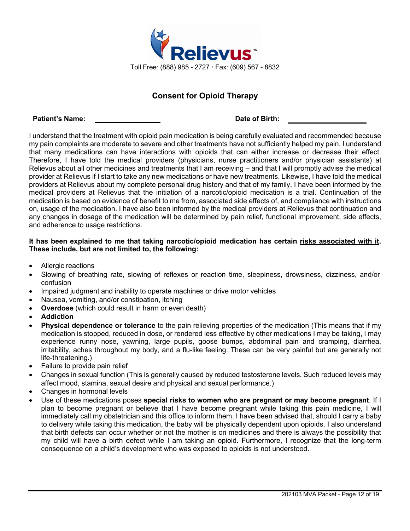

# **Consent for Opioid Therapy**

#### **Patient's Name: Date of Birth:**

I understand that the treatment with opioid pain medication is being carefully evaluated and recommended because my pain complaints are moderate to severe and other treatments have not sufficiently helped my pain. I understand that many medications can have interactions with opioids that can either increase or decrease their effect. Therefore, I have told the medical providers (physicians, nurse practitioners and/or physician assistants) at Relievus about all other medicines and treatments that I am receiving – and that I will promptly advise the medical provider at Relievus if I start to take any new medications or have new treatments. Likewise, I have told the medical providers at Relievus about my complete personal drug history and that of my family. I have been informed by the medical providers at Relievus that the initiation of a narcotic/opioid medication is a trial. Continuation of the medication is based on evidence of benefit to me from, associated side effects of, and compliance with instructions on, usage of the medication. I have also been informed by the medical providers at Relievus that continuation and any changes in dosage of the medication will be determined by pain relief, functional improvement, side effects, and adherence to usage restrictions.

### **It has been explained to me that taking narcotic/opioid medication has certain risks associated with it. These include, but are not limited to, the following:**

- Allergic reactions
- Slowing of breathing rate, slowing of reflexes or reaction time, sleepiness, drowsiness, dizziness, and/or confusion
- Impaired judgment and inability to operate machines or drive motor vehicles
- Nausea, vomiting, and/or constipation, itching
- **Overdose** (which could result in harm or even death)
- **Addiction**
- **Physical dependence or tolerance** to the pain relieving properties of the medication (This means that if my medication is stopped, reduced in dose, or rendered less effective by other medications I may be taking, I may experience runny nose, yawning, large pupils, goose bumps, abdominal pain and cramping, diarrhea, irritability, aches throughout my body, and a flu-like feeling. These can be very painful but are generally not life-threatening.)
- Failure to provide pain relief
- Changes in sexual function (This is generally caused by reduced testosterone levels. Such reduced levels may affect mood, stamina, sexual desire and physical and sexual performance.)
- Changes in hormonal levels
- Use of these medications poses **special risks to women who are pregnant or may become pregnant**. If I plan to become pregnant or believe that I have become pregnant while taking this pain medicine, I will immediately call my obstetrician and this office to inform them. I have been advised that, should I carry a baby to delivery while taking this medication, the baby will be physically dependent upon opioids. I also understand that birth defects can occur whether or not the mother is on medicines and there is always the possibility that my child will have a birth defect while I am taking an opioid. Furthermore, I recognize that the long-term consequence on a child's development who was exposed to opioids is not understood.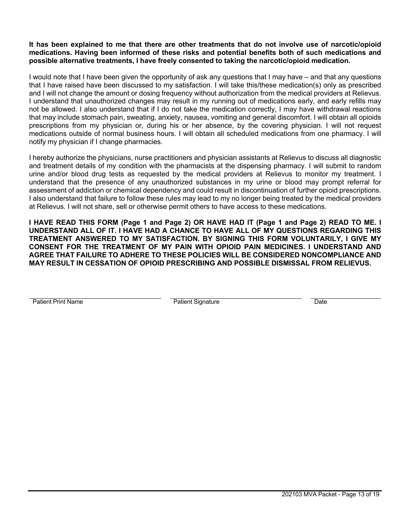### **It has been explained to me that there are other treatments that do not involve use of narcotic/opioid medications. Having been informed of these risks and potential benefits both of such medications and possible alternative treatments, I have freely consented to taking the narcotic/opioid medication.**

I would note that I have been given the opportunity of ask any questions that I may have – and that any questions that I have raised have been discussed to my satisfaction. I will take this/these medication(s) only as prescribed and I will not change the amount or dosing frequency without authorization from the medical providers at Relievus. I understand that unauthorized changes may result in my running out of medications early, and early refills may not be allowed. I also understand that if I do not take the medication correctly, I may have withdrawal reactions that may include stomach pain, sweating, anxiety, nausea, vomiting and general discomfort. I will obtain all opioids prescriptions from my physician or, during his or her absence, by the covering physician. I will not request medications outside of normal business hours. I will obtain all scheduled medications from one pharmacy. I will notify my physician if I change pharmacies.

I hereby authorize the physicians, nurse practitioners and physician assistants at Relievus to discuss all diagnostic and treatment details of my condition with the pharmacists at the dispensing pharmacy. I will submit to random urine and/or blood drug tests as requested by the medical providers at Relievus to monitor my treatment. I understand that the presence of any unauthorized substances in my urine or blood may prompt referral for assessment of addiction or chemical dependency and could result in discontinuation of further opioid prescriptions. I also understand that failure to follow these rules may lead to my no longer being treated by the medical providers at Relievus. I will not share, sell or otherwise permit others to have access to these medications.

**I HAVE READ THIS FORM (Page 1 and Page 2) OR HAVE HAD IT (Page 1 and Page 2) READ TO ME. I UNDERSTAND ALL OF IT. I HAVE HAD A CHANCE TO HAVE ALL OF MY QUESTIONS REGARDING THIS TREATMENT ANSWERED TO MY SATISFACTION. BY SIGNING THIS FORM VOLUNTARILY, I GIVE MY CONSENT FOR THE TREATMENT OF MY PAIN WITH OPIOID PAIN MEDICINES. I UNDERSTAND AND AGREE THAT FAILURE TO ADHERE TO THESE POLICIES WILL BE CONSIDERED NONCOMPLIANCE AND MAY RESULT IN CESSATION OF OPIOID PRESCRIBING AND POSSIBLE DISMISSAL FROM RELIEVUS.**

Patient Print Name **Patient Signature** Patient Signature Date **Date**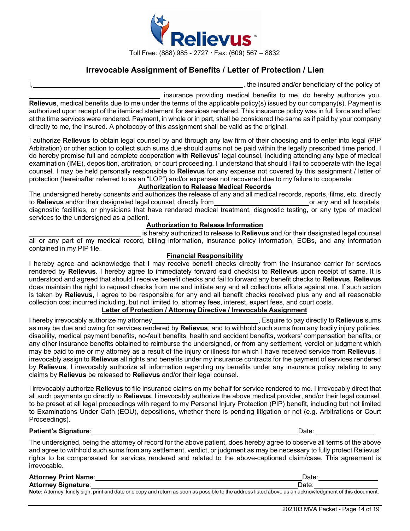

# **Irrevocable Assignment of Benefits / Letter of Protection / Lien**

I, the insured and/or beneficiary of the policy of

insurance providing medical benefits to me, do hereby authorize you, **Relievus**, medical benefits due to me under the terms of the applicable policy(s) issued by our company(s). Payment is authorized upon receipt of the itemized statement for services rendered. This insurance policy was in full force and effect at the time services were rendered. Payment, in whole or in part, shall be considered the same as if paid by your company directly to me, the insured. A photocopy of this assignment shall be valid as the original.

I authorize **Relievus** to obtain legal counsel by and through any law firm of their choosing and to enter into legal (PIP Arbitration) or other action to collect such sums due should sums not be paid within the legally prescribed time period. I do hereby promise full and complete cooperation with **Relievus'** legal counsel, including attending any type of medical examination (IME), deposition, arbitration, or court proceeding. I understand that should I fail to cooperate with the legal counsel, I may be held personally responsible to **Relievus** for any expense not covered by this assignment / letter of protection (hereinafter referred to as an "LOP") and/or expenses not recovered due to my failure to cooperate.

### **Authorization to Release Medical Records**

The undersigned hereby consents and authorizes the release of any and all medical records, reports, films, etc. directly to **Relievus** and/or their designated legal counsel, directly from to **Relievus** and/or their designated legal counsel, directly from **or any and all hospitals**, or any and all hospitals, diagnostic facilities, or physicians that have rendered medical treatment, diagnostic testing, or any type of medical services to the undersigned as a patient.

#### **Authorization to Release Information**

is hereby authorized to release to **Relievus** and /or their designated legal counsel all or any part of my medical record, billing information, insurance policy information, EOBs, and any information contained in my PIP file.

#### **Financial Responsibility**

I hereby agree and acknowledge that I may receive benefit checks directly from the insurance carrier for services rendered by **Relievus**. I hereby agree to immediately forward said check(s) to **Relievus** upon receipt of same. It is understood and agreed that should I receive benefit checks and fail to forward any benefit checks to **Relievus**, **Relievus** does maintain the right to request checks from me and initiate any and all collections efforts against me. If such action is taken by **Relievus**, I agree to be responsible for any and all benefit checks received plus any and all reasonable collection cost incurred including, but not limited to, attorney fees, interest, expert fees, and court costs.

## **Letter of Protection / Attorney Directive / Irrevocable Assignment**

I hereby irrevocably authorize my attorney , Esquire to pay directly to **Relievus** sums as may be due and owing for services rendered by **Relievus**, and to withhold such sums from any bodily injury policies, disability, medical payment benefits, no-fault benefits, health and accident benefits, workers' compensation benefits, or any other insurance benefits obtained to reimburse the undersigned, or from any settlement, verdict or judgment which may be paid to me or my attorney as a result of the injury or illness for which I have received service from **Relievus**. I irrevocably assign to **Relievus** all rights and benefits under my insurance contracts for the payment of services rendered by **Relievus**. I irrevocably authorize all information regarding my benefits under any insurance policy relating to any claims by **Relievus** be released to **Relievus** and/or their legal counsel.

I irrevocably authorize **Relievus** to file insurance claims on my behalf for service rendered to me. I irrevocably direct that all such payments go directly to **Relievus**. I irrevocably authorize the above medical provider, and/or their legal counsel, to be preset at all legal proceedings with regard to my Personal Injury Protection (PIP) benefit, including but not limited to Examinations Under Oath (EOU), depositions, whether there is pending litigation or not (e.g. Arbitrations or Court Proceedings).

#### **Patient's Signature**: Date:

The undersigned, being the attorney of record for the above patient, does hereby agree to observe all terms of the above and agree to withhold such sums from any settlement, verdict, or judgment as may be necessary to fully protect Relievus' rights to be compensated for services rendered and related to the above-captioned claim/case. This agreement is irrevocable.

| <b>Attorney Print Name:</b> | Date                                                                                                                                                   |
|-----------------------------|--------------------------------------------------------------------------------------------------------------------------------------------------------|
| <b>Attorney Signature:</b>  | Date.                                                                                                                                                  |
|                             | Note: Attorney, kindly sign, print and date one copy and return as soon as possible to the address listed above as an acknowledgment of this document. |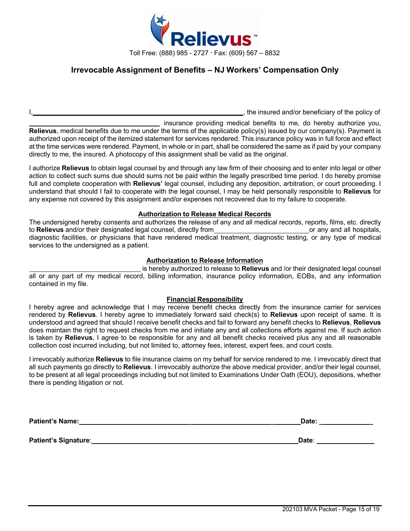

# **Irrevocable Assignment of Benefits – NJ Workers' Compensation Only**

I, the insured and/or beneficiary of the policy of

insurance providing medical benefits to me, do hereby authorize you, **Relievus**, medical benefits due to me under the terms of the applicable policy(s) issued by our company(s). Payment is authorized upon receipt of the itemized statement for services rendered. This insurance policy was in full force and effect at the time services were rendered. Payment, in whole or in part, shall be considered the same as if paid by your company directly to me, the insured. A photocopy of this assignment shall be valid as the original.

I authorize **Relievus** to obtain legal counsel by and through any law firm of their choosing and to enter into legal or other action to collect such sums due should sums not be paid within the legally prescribed time period. I do hereby promise full and complete cooperation with **Relievus'** legal counsel, including any deposition, arbitration, or court proceeding. I understand that should I fail to cooperate with the legal counsel, I may be held personally responsible to **Relievus** for any expense not covered by this assignment and/or expenses not recovered due to my failure to cooperate.

#### **Authorization to Release Medical Records**

The undersigned hereby consents and authorizes the release of any and all medical records, reports, films, etc. directly to **Relievus** and/or their designated legal counsel, directly from **or any and all hospitals**, or any and all hospitals, diagnostic facilities, or physicians that have rendered medical treatment, diagnostic testing, or any type of medical services to the undersigned as a patient.

#### **Authorization to Release Information**

is hereby authorized to release to **Relievus** and /or their designated legal counsel all or any part of my medical record, billing information, insurance policy information, EOBs, and any information contained in my file.

#### **Financial Responsibility**

I hereby agree and acknowledge that I may receive benefit checks directly from the insurance carrier for services rendered by **Relievus**. I hereby agree to immediately forward said check(s) to **Relievus** upon receipt of same. It is understood and agreed that should I receive benefit checks and fail to forward any benefit checks to **Relievus**, **Relievus** does maintain the right to request checks from me and initiate any and all collections efforts against me. If such action is taken by **Relievus**, I agree to be responsible for any and all benefit checks received plus any and all reasonable collection cost incurred including, but not limited to, attorney fees, interest, expert fees, and court costs.

I irrevocably authorize **Relievus** to file insurance claims on my behalf for service rendered to me. I irrevocably direct that all such payments go directly to **Relievus**. I irrevocably authorize the above medical provider, and/or their legal counsel, to be present at all legal proceedings including but not limited to Examinations Under Oath (EOU), depositions, whether there is pending litigation or not.

| <b>Patient's Name:</b> | Date: |
|------------------------|-------|
|                        |       |
| Patient's Signature:   | Date: |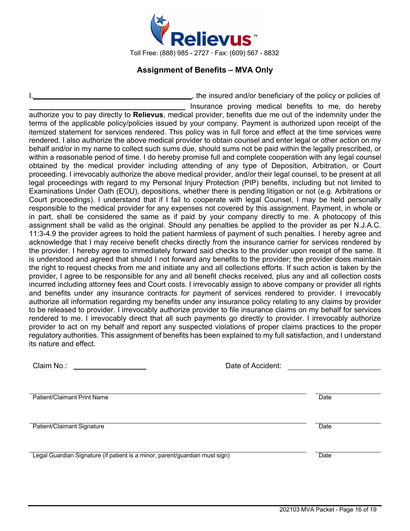

# **Assignment of Benefits – MVA Only**

<sub>1</sub>, the insured and/or beneficiary of the policy or policies of Insurance proving medical benefits to me, do hereby authorize you to pay directly to **Relievus**, medical provider, benefits due me out of the indemnity under the terms of the applicable policy/policies issued by your company. Payment is authorized upon receipt of the itemized statement for services rendered. This policy was in full force and effect at the time services were rendered. I also authorize the above medical provider to obtain counsel and enter legal or other action on my behalf and/or in my name to collect such sums due, should sums not be paid within the legally prescribed, or within a reasonable period of time. I do hereby promise full and complete cooperation with any legal counsel obtained by the medical provider including attending of any type of Deposition, Arbitration, or Court proceeding. I irrevocably authorize the above medical provider, and/or their legal counsel, to be present at all legal proceedings with regard to my Personal Injury Protection (PIP) benefits, including but not limited to Examinations Under Oath (EOU), depositions, whether there is pending litigation or not (e.g. Arbitrations or Court proceedings). I understand that if I fail to cooperate with legal Counsel, I may be held personally responsible to the medical provider for any expenses not covered by this assignment. Payment, in whole or in part, shall be considered the same as if paid by your company directly to me. A photocopy of this assignment shall be valid as the original. Should any penalties be applied to the provider as per N.J.A.C. 11:3-4.9 the provider agrees to hold the patient harmless of payment of such penalties. I hereby agree and acknowledge that I may receive benefit checks directly from the insurance carrier for services rendered by the provider. I hereby agree to immediately forward said checks to the provider upon receipt of the same. It is understood and agreed that should I not forward any benefits to the provider; the provider does maintain the right to request checks from me and initiate any and all collections efforts. If such action is taken by the provider, I agree to be responsible for any and all benefit checks received, plus any and all collection costs incurred including attorney fees and Court costs. I irrevocably assign to above company or provider all rights and benefits under any insurance contracts for payment of services rendered to provider. I irrevocably authorize all information regarding my benefits under any insurance policy relating to any claims by provider to be released to provider. I irrevocably authorize provider to file insurance claims on my behalf for services rendered to me. I irrevocably direct that all such payments go directly to provider. I irrevocably authorize provider to act on my behalf and report any suspected violations of proper claims practices to the proper regulatory authorities. This assignment of benefits has been explained to my full satisfaction, and I understand its nature and effect.

| Claim No.:                                                                  | Date of Accident: |      |
|-----------------------------------------------------------------------------|-------------------|------|
| Patient/Claimant Print Name                                                 |                   | Date |
| Patient/Claimant Signature                                                  |                   | Date |
| Legal Guardian Signature (if patient is a minor, parent/guardian must sign) |                   | Date |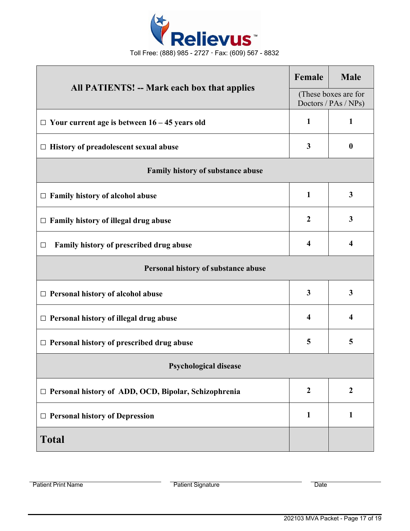

| <b>All PATIENTS! -- Mark each box that applies</b>          |              | <b>Male</b>                                  |  |
|-------------------------------------------------------------|--------------|----------------------------------------------|--|
|                                                             |              | (These boxes are for<br>Doctors / PAs / NPs) |  |
| $\Box$ Your current age is between 16 – 45 years old        | $\mathbf{1}$ | $\mathbf{1}$                                 |  |
| $\Box$ History of preadolescent sexual abuse                |              | $\boldsymbol{0}$                             |  |
| <b>Family history of substance abuse</b>                    |              |                                              |  |
| $\Box$ Family history of alcohol abuse                      | $\mathbf{1}$ | $\mathbf{3}$                                 |  |
| Family history of illegal drug abuse<br>$\Box$              |              | $\mathbf{3}$                                 |  |
| Family history of prescribed drug abuse<br>□                |              | $\overline{\mathbf{4}}$                      |  |
| Personal history of substance abuse                         |              |                                              |  |
| $\Box$ Personal history of alcohol abuse                    | 3            | $\overline{\mathbf{3}}$                      |  |
| $\Box$ Personal history of illegal drug abuse               |              | $\overline{\mathbf{4}}$                      |  |
| $\Box$ Personal history of prescribed drug abuse            | 5            | 5                                            |  |
| <b>Psychological disease</b>                                |              |                                              |  |
| $\Box$ Personal history of ADD, OCD, Bipolar, Schizophrenia |              | $\boldsymbol{2}$                             |  |
| $\Box$ Personal history of Depression                       |              | $\mathbf{1}$                                 |  |
| <b>Total</b>                                                |              |                                              |  |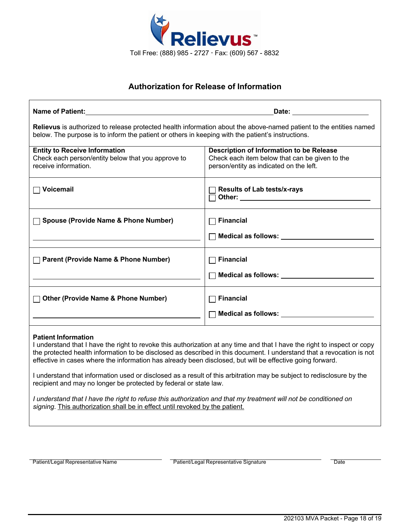

# **Authorization for Release of Information**

| Name of Patient: All the state of the state of the state of the state of the state of the state of the state of the state of the state of the state of the state of the state of the state of the state of the state of the st                                                                                                                                                                                                                                                                                                                                                                                                                                                                                 | <b>Date:</b> the contract of the contract of the contract of the contract of the contract of the contract of the contract of the contract of the contract of the contract of the contract of the contract of the contract of the co |  |  |  |
|----------------------------------------------------------------------------------------------------------------------------------------------------------------------------------------------------------------------------------------------------------------------------------------------------------------------------------------------------------------------------------------------------------------------------------------------------------------------------------------------------------------------------------------------------------------------------------------------------------------------------------------------------------------------------------------------------------------|-------------------------------------------------------------------------------------------------------------------------------------------------------------------------------------------------------------------------------------|--|--|--|
| Relievus is authorized to release protected health information about the above-named patient to the entities named<br>below. The purpose is to inform the patient or others in keeping with the patient's instructions.                                                                                                                                                                                                                                                                                                                                                                                                                                                                                        |                                                                                                                                                                                                                                     |  |  |  |
| <b>Entity to Receive Information</b><br>Check each person/entity below that you approve to<br>receive information.                                                                                                                                                                                                                                                                                                                                                                                                                                                                                                                                                                                             | Description of Information to be Release<br>Check each item below that can be given to the<br>person/entity as indicated on the left.                                                                                               |  |  |  |
| $\Box$ Voicemail                                                                                                                                                                                                                                                                                                                                                                                                                                                                                                                                                                                                                                                                                               | <b>Results of Lab tests/x-rays</b>                                                                                                                                                                                                  |  |  |  |
| <b>Spouse (Provide Name &amp; Phone Number)</b>                                                                                                                                                                                                                                                                                                                                                                                                                                                                                                                                                                                                                                                                | <b>Financial</b><br>Medical as follows: Next Control of the Medical as follows:                                                                                                                                                     |  |  |  |
| <b>Parent (Provide Name &amp; Phone Number)</b>                                                                                                                                                                                                                                                                                                                                                                                                                                                                                                                                                                                                                                                                | <b>Financial</b><br>Medical as follows: Next Assembly Medical as follows:                                                                                                                                                           |  |  |  |
| □ Other (Provide Name & Phone Number)                                                                                                                                                                                                                                                                                                                                                                                                                                                                                                                                                                                                                                                                          | <b>Financial</b>                                                                                                                                                                                                                    |  |  |  |
| <b>Patient Information</b><br>I understand that I have the right to revoke this authorization at any time and that I have the right to inspect or copy<br>the protected health information to be disclosed as described in this document. I understand that a revocation is not<br>effective in cases where the information has already been disclosed, but will be effective going forward.<br>I understand that information used or disclosed as a result of this arbitration may be subject to redisclosure by the<br>recipient and may no longer be protected by federal or state law.<br>I understand that I have the right to refuse this authorization and that my treatment will not be conditioned on |                                                                                                                                                                                                                                     |  |  |  |
| signing. This authorization shall be in effect until revoked by the patient.                                                                                                                                                                                                                                                                                                                                                                                                                                                                                                                                                                                                                                   |                                                                                                                                                                                                                                     |  |  |  |

Patient/Legal Representative Name **Patient/Legal Representative Signature** Patient/Legal Representative Signature